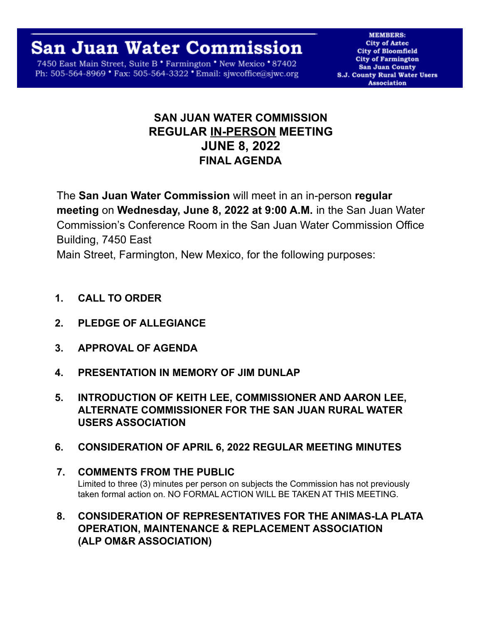# **San Juan Water Commission**

7450 East Main Street, Suite B \* Farmington \* New Mexico \* 87402 Ph: 505-564-8969 \* Fax: 505-564-3322 \* Email: sjwcoffice@sjwc.org

**MEMBERS: City of Aztec City of Bloomfield City of Farmington San Juan County S.J. County Rural Water Users Association** 

## **SAN JUAN WATER COMMISSION REGULAR IN-PERSON MEETING JUNE 8, 2022 FINAL AGENDA**

The **San Juan Water Commission** will meet in an in-person **regular meeting** on **Wednesday, June 8, 2022 at 9:00 A.M.** in the San Juan Water Commission's Conference Room in the San Juan Water Commission Office Building, 7450 East

Main Street, Farmington, New Mexico, for the following purposes:

- **1. CALL TO ORDER**
- **2. PLEDGE OF ALLEGIANCE**
- **3. APPROVAL OF AGENDA**
- **4. PRESENTATION IN MEMORY OF JIM DUNLAP**
- **5. INTRODUCTION OF KEITH LEE, COMMISSIONER AND AARON LEE, ALTERNATE COMMISSIONER FOR THE SAN JUAN RURAL WATER USERS ASSOCIATION**
- **6. CONSIDERATION OF APRIL 6, 2022 REGULAR MEETING MINUTES**
- **7. COMMENTS FROM THE PUBLIC** Limited to three (3) minutes per person on subjects the Commission has not previously taken formal action on. NO FORMAL ACTION WILL BE TAKEN AT THIS MEETING.
- **8. CONSIDERATION OF REPRESENTATIVES FOR THE ANIMAS-LA PLATA OPERATION, MAINTENANCE & REPLACEMENT ASSOCIATION (ALP OM&R ASSOCIATION)**